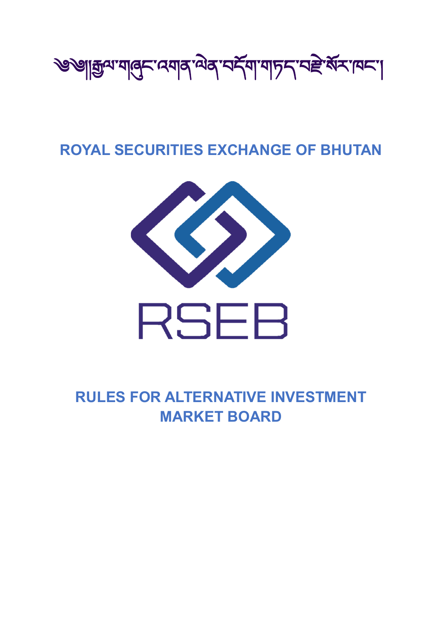

# **ROYAL SECURITIES EXCHANGE OF BHUTAN**



**RULES FOR ALTERNATIVE INVESTMENT MARKET BOARD**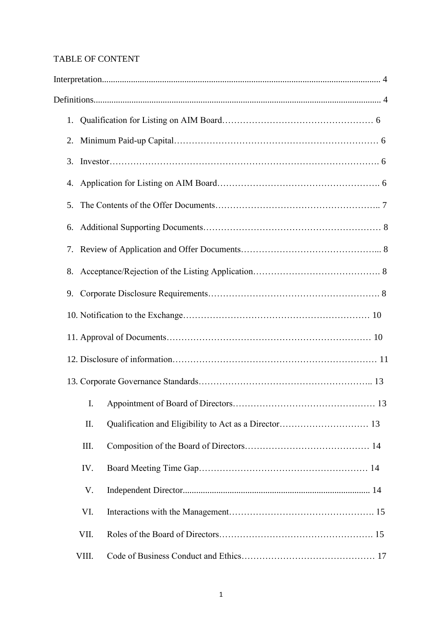# TABLE OF CONTENT

| 2. |       |  |  |  |  |  |  |
|----|-------|--|--|--|--|--|--|
| 3. |       |  |  |  |  |  |  |
|    |       |  |  |  |  |  |  |
| 5. |       |  |  |  |  |  |  |
| 6. |       |  |  |  |  |  |  |
| 7. |       |  |  |  |  |  |  |
| 8. |       |  |  |  |  |  |  |
| 9. |       |  |  |  |  |  |  |
|    |       |  |  |  |  |  |  |
|    |       |  |  |  |  |  |  |
|    |       |  |  |  |  |  |  |
|    |       |  |  |  |  |  |  |
|    | I.    |  |  |  |  |  |  |
|    | II.   |  |  |  |  |  |  |
|    | III.  |  |  |  |  |  |  |
|    | IV.   |  |  |  |  |  |  |
|    | V.    |  |  |  |  |  |  |
|    | VI.   |  |  |  |  |  |  |
|    | VII.  |  |  |  |  |  |  |
|    | VIII. |  |  |  |  |  |  |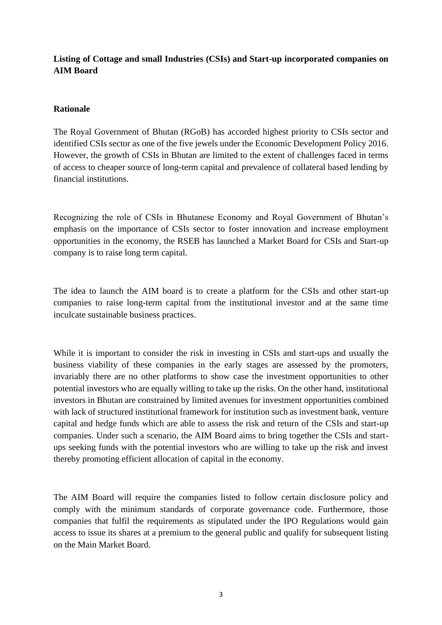# **Listing of Cottage and small Industries (CSIs) and Start-up incorporated companies on AIM Board**

## **Rationale**

The Royal Government of Bhutan (RGoB) has accorded highest priority to CSIs sector and identified CSIs sector as one of the five jewels under the Economic Development Policy 2016. However, the growth of CSIs in Bhutan are limited to the extent of challenges faced in terms of access to cheaper source of long-term capital and prevalence of collateral based lending by financial institutions.

Recognizing the role of CSIs in Bhutanese Economy and Royal Government of Bhutan's emphasis on the importance of CSIs sector to foster innovation and increase employment opportunities in the economy, the RSEB has launched a Market Board for CSIs and Start-up company is to raise long term capital.

The idea to launch the AIM board is to create a platform for the CSIs and other start-up companies to raise long-term capital from the institutional investor and at the same time inculcate sustainable business practices.

While it is important to consider the risk in investing in CSIs and start-ups and usually the business viability of these companies in the early stages are assessed by the promoters, invariably there are no other platforms to show case the investment opportunities to other potential investors who are equally willing to take up the risks. On the other hand, institutional investors in Bhutan are constrained by limited avenues for investment opportunities combined with lack of structured institutional framework for institution such as investment bank, venture capital and hedge funds which are able to assess the risk and return of the CSIs and start-up companies. Under such a scenario, the AIM Board aims to bring together the CSIs and startups seeking funds with the potential investors who are willing to take up the risk and invest thereby promoting efficient allocation of capital in the economy.

The AIM Board will require the companies listed to follow certain disclosure policy and comply with the minimum standards of corporate governance code. Furthermore, those companies that fulfil the requirements as stipulated under the IPO Regulations would gain access to issue its shares at a premium to the general public and qualify for subsequent listing on the Main Market Board.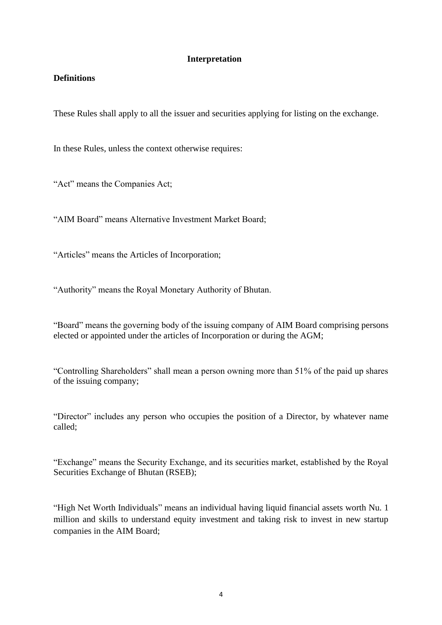#### **Interpretation**

## **Definitions**

These Rules shall apply to all the issuer and securities applying for listing on the exchange.

In these Rules, unless the context otherwise requires:

"Act" means the Companies Act;

"AIM Board" means Alternative Investment Market Board;

"Articles" means the Articles of Incorporation;

"Authority" means the Royal Monetary Authority of Bhutan.

"Board" means the governing body of the issuing company of AIM Board comprising persons elected or appointed under the articles of Incorporation or during the AGM;

"Controlling Shareholders" shall mean a person owning more than 51% of the paid up shares of the issuing company;

"Director" includes any person who occupies the position of a Director, by whatever name called;

"Exchange" means the Security Exchange, and its securities market, established by the Royal Securities Exchange of Bhutan (RSEB);

"High Net Worth Individuals" means an individual having liquid financial assets worth Nu. 1 million and skills to understand equity investment and taking risk to invest in new startup companies in the AIM Board;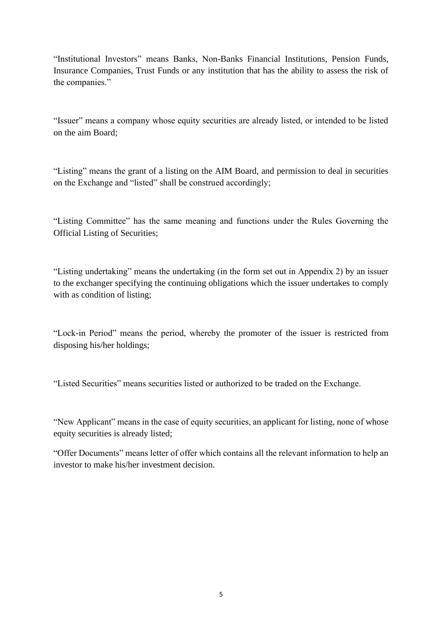"Institutional Investors" means Banks, Non-Banks Financial Institutions, Pension Funds, Insurance Companies, Trust Funds or any institution that has the ability to assess the risk of the companies."

"Issuer" means a company whose equity securities are already listed, or intended to be listed on the aim Board;

"Listing" means the grant of a listing on the AIM Board, and permission to deal in securities on the Exchange and "listed" shall be construed accordingly;

"Listing Committee" has the same meaning and functions under the Rules Governing the Official Listing of Securities;

"Listing undertaking" means the undertaking (in the form set out in Appendix 2) by an issuer to the exchanger specifying the continuing obligations which the issuer undertakes to comply with as condition of listing;

"Lock-in Period" means the period, whereby the promoter of the issuer is restricted from disposing his/her holdings;

"Listed Securities" means securities listed or authorized to be traded on the Exchange.

"New Applicant" means in the case of equity securities, an applicant for listing, none of whose equity securities is already listed;

"Offer Documents" means letter of offer which contains all the relevant information to help an investor to make his/her investment decision.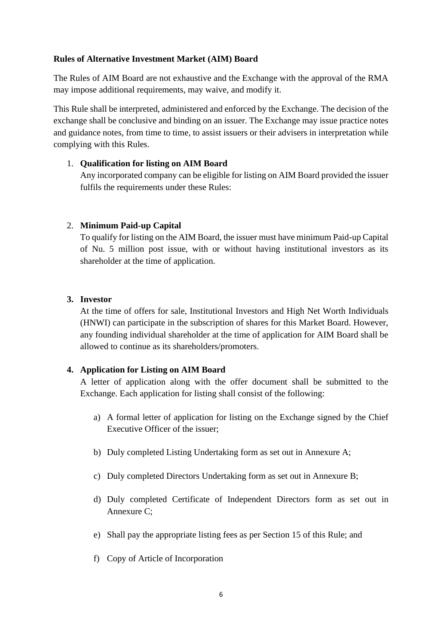## **Rules of Alternative Investment Market (AIM) Board**

The Rules of AIM Board are not exhaustive and the Exchange with the approval of the RMA may impose additional requirements, may waive, and modify it.

This Rule shall be interpreted, administered and enforced by the Exchange. The decision of the exchange shall be conclusive and binding on an issuer. The Exchange may issue practice notes and guidance notes, from time to time, to assist issuers or their advisers in interpretation while complying with this Rules.

## 1. **Qualification for listing on AIM Board**

Any incorporated company can be eligible for listing on AIM Board provided the issuer fulfils the requirements under these Rules:

## 2. **Minimum Paid-up Capital**

To qualify for listing on the AIM Board, the issuer must have minimum Paid-up Capital of Nu. 5 million post issue, with or without having institutional investors as its shareholder at the time of application.

#### **3. Investor**

At the time of offers for sale, Institutional Investors and High Net Worth Individuals (HNWI) can participate in the subscription of shares for this Market Board. However, any founding individual shareholder at the time of application for AIM Board shall be allowed to continue as its shareholders/promoters.

## **4. Application for Listing on AIM Board**

A letter of application along with the offer document shall be submitted to the Exchange. Each application for listing shall consist of the following:

- a) A formal letter of application for listing on the Exchange signed by the Chief Executive Officer of the issuer;
- b) Duly completed Listing Undertaking form as set out in Annexure A;
- c) Duly completed Directors Undertaking form as set out in Annexure B;
- d) Duly completed Certificate of Independent Directors form as set out in Annexure C;
- e) Shall pay the appropriate listing fees as per Section 15 of this Rule; and
- f) Copy of Article of Incorporation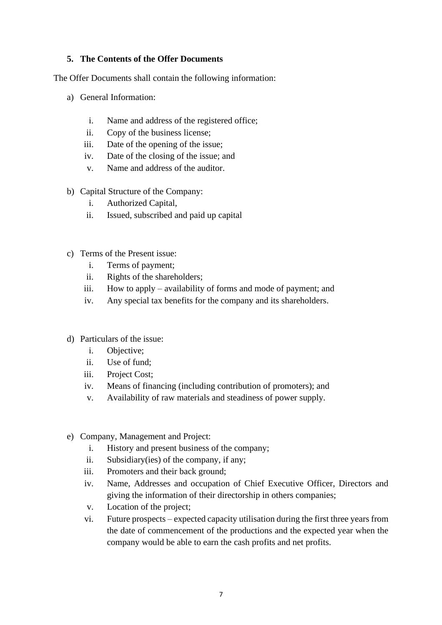## **5. The Contents of the Offer Documents**

The Offer Documents shall contain the following information:

- a) General Information:
	- i. Name and address of the registered office;
	- ii. Copy of the business license;
	- iii. Date of the opening of the issue;
	- iv. Date of the closing of the issue; and
	- v. Name and address of the auditor.
- b) Capital Structure of the Company:
	- i. Authorized Capital,
	- ii. Issued, subscribed and paid up capital
- c) Terms of the Present issue:
	- i. Terms of payment;
	- ii. Rights of the shareholders;
	- iii. How to apply availability of forms and mode of payment; and
	- iv. Any special tax benefits for the company and its shareholders.
- d) Particulars of the issue:
	- i. Objective;
	- ii. Use of fund;
	- iii. Project Cost;
	- iv. Means of financing (including contribution of promoters); and
	- v. Availability of raw materials and steadiness of power supply.
- e) Company, Management and Project:
	- i. History and present business of the company;
	- ii. Subsidiary(ies) of the company, if any;
	- iii. Promoters and their back ground;
	- iv. Name, Addresses and occupation of Chief Executive Officer, Directors and giving the information of their directorship in others companies;
	- v. Location of the project;
	- vi. Future prospects expected capacity utilisation during the first three years from the date of commencement of the productions and the expected year when the company would be able to earn the cash profits and net profits.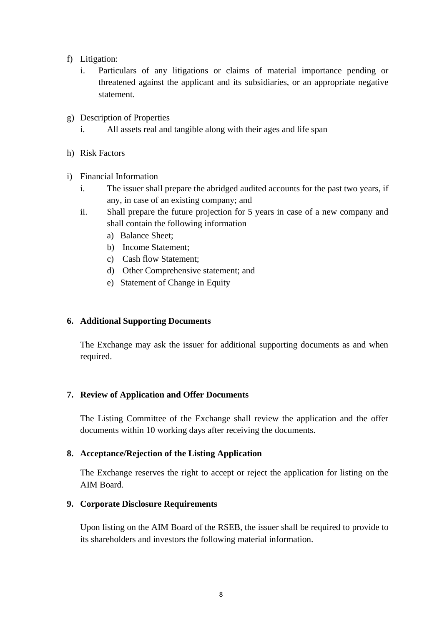- f) Litigation:
	- i. Particulars of any litigations or claims of material importance pending or threatened against the applicant and its subsidiaries, or an appropriate negative statement.
- g) Description of Properties
	- i. All assets real and tangible along with their ages and life span
- h) Risk Factors
- i) Financial Information
	- i. The issuer shall prepare the abridged audited accounts for the past two years, if any, in case of an existing company; and
	- ii. Shall prepare the future projection for 5 years in case of a new company and shall contain the following information
		- a) Balance Sheet;
		- b) Income Statement;
		- c) Cash flow Statement;
		- d) Other Comprehensive statement; and
		- e) Statement of Change in Equity

#### **6. Additional Supporting Documents**

The Exchange may ask the issuer for additional supporting documents as and when required.

#### **7. Review of Application and Offer Documents**

The Listing Committee of the Exchange shall review the application and the offer documents within 10 working days after receiving the documents.

#### **8. Acceptance/Rejection of the Listing Application**

The Exchange reserves the right to accept or reject the application for listing on the AIM Board.

#### **9. Corporate Disclosure Requirements**

Upon listing on the AIM Board of the RSEB, the issuer shall be required to provide to its shareholders and investors the following material information.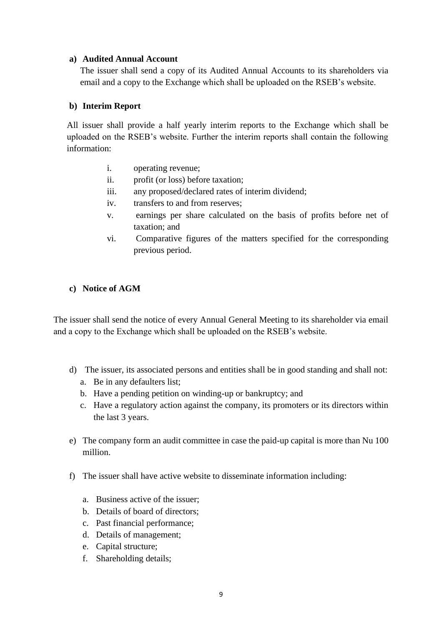#### **a) Audited Annual Account**

The issuer shall send a copy of its Audited Annual Accounts to its shareholders via email and a copy to the Exchange which shall be uploaded on the RSEB's website.

#### **b) Interim Report**

All issuer shall provide a half yearly interim reports to the Exchange which shall be uploaded on the RSEB's website. Further the interim reports shall contain the following information:

- i. operating revenue;
- ii. profit (or loss) before taxation;
- iii. any proposed/declared rates of interim dividend;
- iv. transfers to and from reserves;
- v. earnings per share calculated on the basis of profits before net of taxation; and
- vi. Comparative figures of the matters specified for the corresponding previous period.

#### **c) Notice of AGM**

The issuer shall send the notice of every Annual General Meeting to its shareholder via email and a copy to the Exchange which shall be uploaded on the RSEB's website.

- d) The issuer, its associated persons and entities shall be in good standing and shall not:
	- a. Be in any defaulters list;
	- b. Have a pending petition on winding-up or bankruptcy; and
	- c. Have a regulatory action against the company, its promoters or its directors within the last 3 years.
- e) The company form an audit committee in case the paid-up capital is more than Nu 100 million.
- f) The issuer shall have active website to disseminate information including:
	- a. Business active of the issuer;
	- b. Details of board of directors;
	- c. Past financial performance;
	- d. Details of management;
	- e. Capital structure;
	- f. Shareholding details;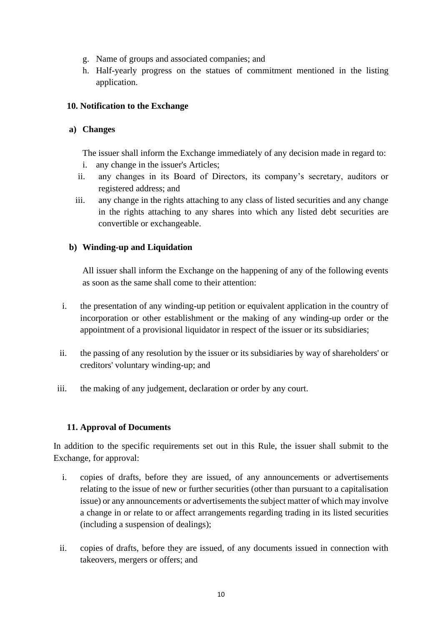- g. Name of groups and associated companies; and
- h. Half-yearly progress on the statues of commitment mentioned in the listing application.

# **10. Notification to the Exchange**

# **a) Changes**

The issuer shall inform the Exchange immediately of any decision made in regard to:

- i. any change in the issuer's Articles;
- ii. any changes in its Board of Directors, its company's secretary, auditors or registered address; and
- iii. any change in the rights attaching to any class of listed securities and any change in the rights attaching to any shares into which any listed debt securities are convertible or exchangeable.

# **b) Winding-up and Liquidation**

All issuer shall inform the Exchange on the happening of any of the following events as soon as the same shall come to their attention:

- i. the presentation of any winding-up petition or equivalent application in the country of incorporation or other establishment or the making of any winding-up order or the appointment of a provisional liquidator in respect of the issuer or its subsidiaries;
- ii. the passing of any resolution by the issuer or its subsidiaries by way of shareholders' or creditors' voluntary winding-up; and
- iii. the making of any judgement, declaration or order by any court.

# **11. Approval of Documents**

In addition to the specific requirements set out in this Rule, the issuer shall submit to the Exchange, for approval:

- i. copies of drafts, before they are issued, of any announcements or advertisements relating to the issue of new or further securities (other than pursuant to a capitalisation issue) or any announcements or advertisements the subject matter of which may involve a change in or relate to or affect arrangements regarding trading in its listed securities (including a suspension of dealings);
- ii. copies of drafts, before they are issued, of any documents issued in connection with takeovers, mergers or offers; and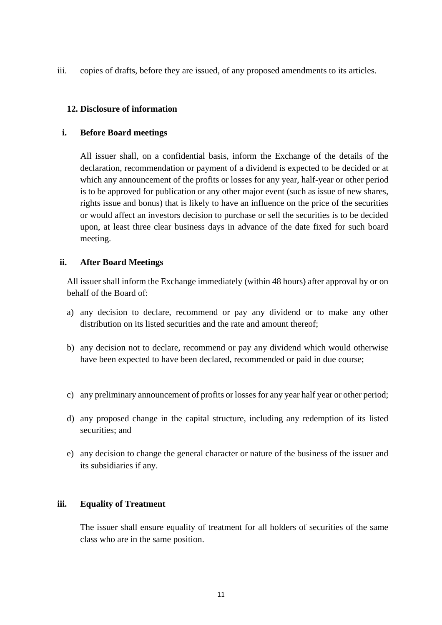iii. copies of drafts, before they are issued, of any proposed amendments to its articles.

## **12. Disclosure of information**

#### **i. Before Board meetings**

All issuer shall, on a confidential basis, inform the Exchange of the details of the declaration, recommendation or payment of a dividend is expected to be decided or at which any announcement of the profits or losses for any year, half-year or other period is to be approved for publication or any other major event (such as issue of new shares, rights issue and bonus) that is likely to have an influence on the price of the securities or would affect an investors decision to purchase or sell the securities is to be decided upon, at least three clear business days in advance of the date fixed for such board meeting.

#### **ii. After Board Meetings**

All issuer shall inform the Exchange immediately (within 48 hours) after approval by or on behalf of the Board of:

- a) any decision to declare, recommend or pay any dividend or to make any other distribution on its listed securities and the rate and amount thereof;
- b) any decision not to declare, recommend or pay any dividend which would otherwise have been expected to have been declared, recommended or paid in due course;
- c) any preliminary announcement of profits or losses for any year half year or other period;
- d) any proposed change in the capital structure, including any redemption of its listed securities; and
- e) any decision to change the general character or nature of the business of the issuer and its subsidiaries if any.

## **iii. Equality of Treatment**

The issuer shall ensure equality of treatment for all holders of securities of the same class who are in the same position.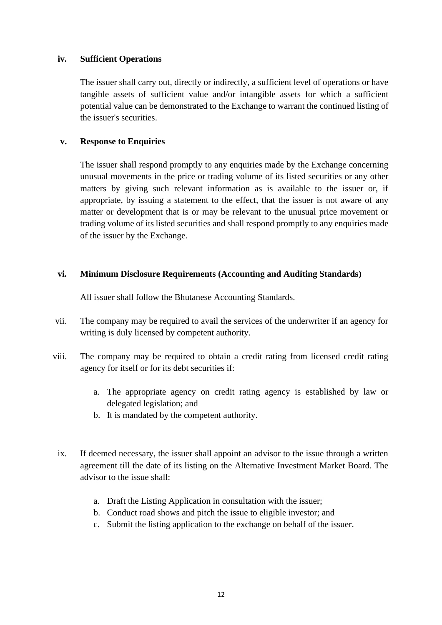#### **iv. Sufficient Operations**

The issuer shall carry out, directly or indirectly, a sufficient level of operations or have tangible assets of sufficient value and/or intangible assets for which a sufficient potential value can be demonstrated to the Exchange to warrant the continued listing of the issuer's securities.

## **v. Response to Enquiries**

The issuer shall respond promptly to any enquiries made by the Exchange concerning unusual movements in the price or trading volume of its listed securities or any other matters by giving such relevant information as is available to the issuer or, if appropriate, by issuing a statement to the effect, that the issuer is not aware of any matter or development that is or may be relevant to the unusual price movement or trading volume of its listed securities and shall respond promptly to any enquiries made of the issuer by the Exchange.

#### **vi. Minimum Disclosure Requirements (Accounting and Auditing Standards)**

All issuer shall follow the Bhutanese Accounting Standards.

- vii. The company may be required to avail the services of the underwriter if an agency for writing is duly licensed by competent authority.
- viii. The company may be required to obtain a credit rating from licensed credit rating agency for itself or for its debt securities if:
	- a. The appropriate agency on credit rating agency is established by law or delegated legislation; and
	- b. It is mandated by the competent authority.
	- ix. If deemed necessary, the issuer shall appoint an advisor to the issue through a written agreement till the date of its listing on the Alternative Investment Market Board. The advisor to the issue shall:
		- a. Draft the Listing Application in consultation with the issuer;
		- b. Conduct road shows and pitch the issue to eligible investor; and
		- c. Submit the listing application to the exchange on behalf of the issuer.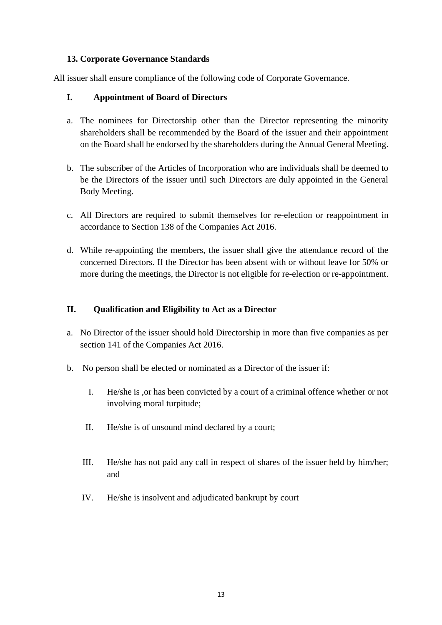## **13. Corporate Governance Standards**

All issuer shall ensure compliance of the following code of Corporate Governance.

## **I. Appointment of Board of Directors**

- a. The nominees for Directorship other than the Director representing the minority shareholders shall be recommended by the Board of the issuer and their appointment on the Board shall be endorsed by the shareholders during the Annual General Meeting.
- b. The subscriber of the Articles of Incorporation who are individuals shall be deemed to be the Directors of the issuer until such Directors are duly appointed in the General Body Meeting.
- c. All Directors are required to submit themselves for re-election or reappointment in accordance to Section 138 of the Companies Act 2016.
- d. While re-appointing the members, the issuer shall give the attendance record of the concerned Directors. If the Director has been absent with or without leave for 50% or more during the meetings, the Director is not eligible for re-election or re-appointment.

# **II. Qualification and Eligibility to Act as a Director**

- a. No Director of the issuer should hold Directorship in more than five companies as per section 141 of the Companies Act 2016.
- b. No person shall be elected or nominated as a Director of the issuer if:
	- I. He/she is ,or has been convicted by a court of a criminal offence whether or not involving moral turpitude;
	- II. He/she is of unsound mind declared by a court;
	- III. He/she has not paid any call in respect of shares of the issuer held by him/her; and
	- IV. He/she is insolvent and adjudicated bankrupt by court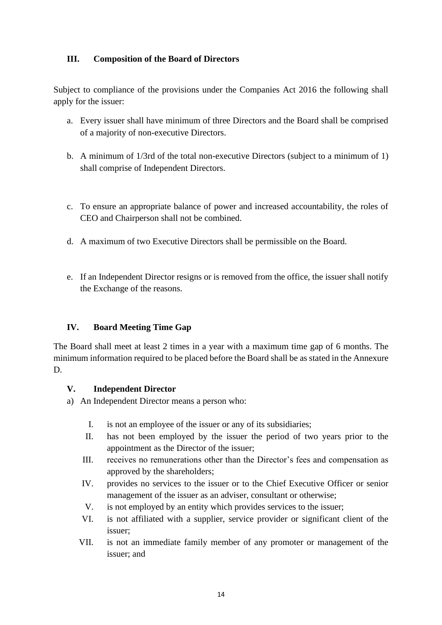# **III. Composition of the Board of Directors**

Subject to compliance of the provisions under the Companies Act 2016 the following shall apply for the issuer:

- a. Every issuer shall have minimum of three Directors and the Board shall be comprised of a majority of non-executive Directors.
- b. A minimum of 1/3rd of the total non-executive Directors (subject to a minimum of 1) shall comprise of Independent Directors.
- c. To ensure an appropriate balance of power and increased accountability, the roles of CEO and Chairperson shall not be combined.
- d. A maximum of two Executive Directors shall be permissible on the Board.
- e. If an Independent Director resigns or is removed from the office, the issuer shall notify the Exchange of the reasons.

## **IV. Board Meeting Time Gap**

The Board shall meet at least 2 times in a year with a maximum time gap of 6 months. The minimum information required to be placed before the Board shall be as stated in the Annexure D.

## **V. Independent Director**

- a) An Independent Director means a person who:
	- I. is not an employee of the issuer or any of its subsidiaries;
	- II. has not been employed by the issuer the period of two years prior to the appointment as the Director of the issuer;
	- III. receives no remunerations other than the Director's fees and compensation as approved by the shareholders;
	- IV. provides no services to the issuer or to the Chief Executive Officer or senior management of the issuer as an adviser, consultant or otherwise;
	- V. is not employed by an entity which provides services to the issuer;
	- VI. is not affiliated with a supplier, service provider or significant client of the issuer;
	- VII. is not an immediate family member of any promoter or management of the issuer; and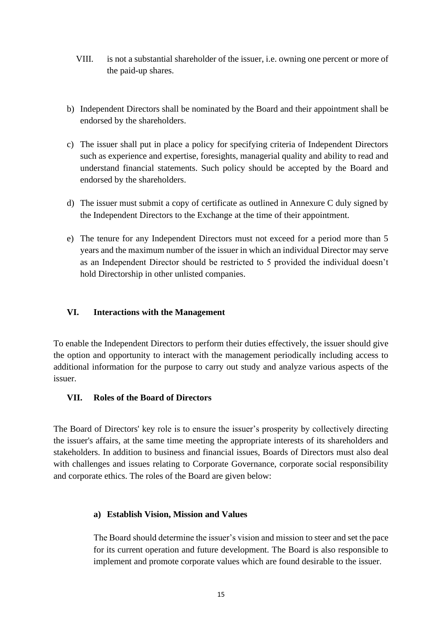- VIII. is not a substantial shareholder of the issuer, i.e. owning one percent or more of the paid-up shares.
- b) Independent Directors shall be nominated by the Board and their appointment shall be endorsed by the shareholders.
- c) The issuer shall put in place a policy for specifying criteria of Independent Directors such as experience and expertise, foresights, managerial quality and ability to read and understand financial statements. Such policy should be accepted by the Board and endorsed by the shareholders.
- d) The issuer must submit a copy of certificate as outlined in Annexure C duly signed by the Independent Directors to the Exchange at the time of their appointment.
- e) The tenure for any Independent Directors must not exceed for a period more than 5 years and the maximum number of the issuer in which an individual Director may serve as an Independent Director should be restricted to 5 provided the individual doesn't hold Directorship in other unlisted companies.

## **VI. Interactions with the Management**

To enable the Independent Directors to perform their duties effectively, the issuer should give the option and opportunity to interact with the management periodically including access to additional information for the purpose to carry out study and analyze various aspects of the issuer.

## **VII. Roles of the Board of Directors**

The Board of Directors' key role is to ensure the issuer's prosperity by collectively directing the issuer's affairs, at the same time meeting the appropriate interests of its shareholders and stakeholders. In addition to business and financial issues, Boards of Directors must also deal with challenges and issues relating to Corporate Governance, corporate social responsibility and corporate ethics. The roles of the Board are given below:

## **a) Establish Vision, Mission and Values**

The Board should determine the issuer's vision and mission to steer and set the pace for its current operation and future development. The Board is also responsible to implement and promote corporate values which are found desirable to the issuer.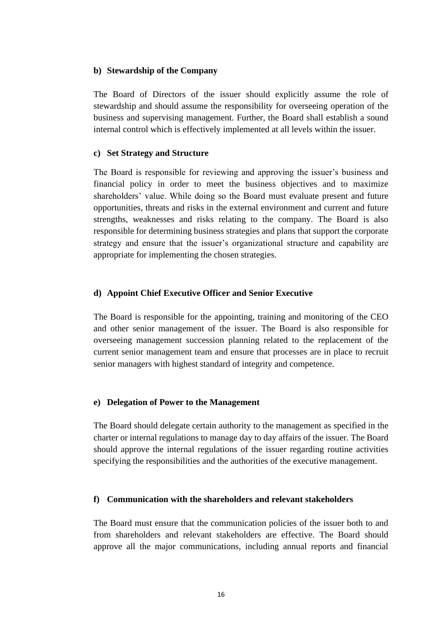#### **b) Stewardship of the Company**

The Board of Directors of the issuer should explicitly assume the role of stewardship and should assume the responsibility for overseeing operation of the business and supervising management. Further, the Board shall establish a sound internal control which is effectively implemented at all levels within the issuer.

#### **c) Set Strategy and Structure**

The Board is responsible for reviewing and approving the issuer's business and financial policy in order to meet the business objectives and to maximize shareholders' value. While doing so the Board must evaluate present and future opportunities, threats and risks in the external environment and current and future strengths, weaknesses and risks relating to the company. The Board is also responsible for determining business strategies and plans that support the corporate strategy and ensure that the issuer's organizational structure and capability are appropriate for implementing the chosen strategies.

#### **d) Appoint Chief Executive Officer and Senior Executive**

The Board is responsible for the appointing, training and monitoring of the CEO and other senior management of the issuer. The Board is also responsible for overseeing management succession planning related to the replacement of the current senior management team and ensure that processes are in place to recruit senior managers with highest standard of integrity and competence.

#### **e) Delegation of Power to the Management**

The Board should delegate certain authority to the management as specified in the charter or internal regulations to manage day to day affairs of the issuer. The Board should approve the internal regulations of the issuer regarding routine activities specifying the responsibilities and the authorities of the executive management.

#### **f) Communication with the shareholders and relevant stakeholders**

The Board must ensure that the communication policies of the issuer both to and from shareholders and relevant stakeholders are effective. The Board should approve all the major communications, including annual reports and financial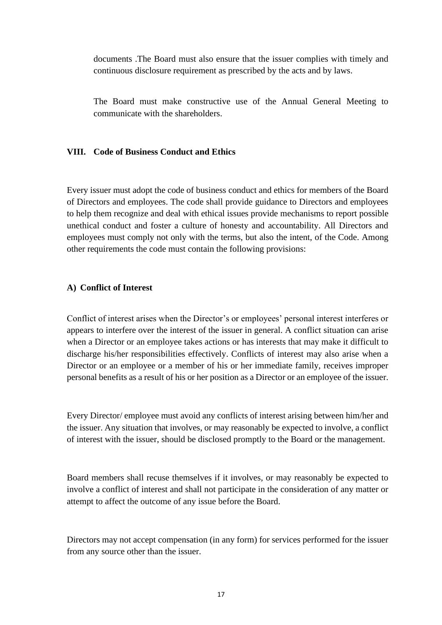documents .The Board must also ensure that the issuer complies with timely and continuous disclosure requirement as prescribed by the acts and by laws.

The Board must make constructive use of the Annual General Meeting to communicate with the shareholders.

#### **VIII. Code of Business Conduct and Ethics**

Every issuer must adopt the code of business conduct and ethics for members of the Board of Directors and employees. The code shall provide guidance to Directors and employees to help them recognize and deal with ethical issues provide mechanisms to report possible unethical conduct and foster a culture of honesty and accountability. All Directors and employees must comply not only with the terms, but also the intent, of the Code. Among other requirements the code must contain the following provisions:

#### **A) Conflict of Interest**

Conflict of interest arises when the Director's or employees' personal interest interferes or appears to interfere over the interest of the issuer in general. A conflict situation can arise when a Director or an employee takes actions or has interests that may make it difficult to discharge his/her responsibilities effectively. Conflicts of interest may also arise when a Director or an employee or a member of his or her immediate family, receives improper personal benefits as a result of his or her position as a Director or an employee of the issuer.

Every Director/ employee must avoid any conflicts of interest arising between him/her and the issuer. Any situation that involves, or may reasonably be expected to involve, a conflict of interest with the issuer, should be disclosed promptly to the Board or the management.

Board members shall recuse themselves if it involves, or may reasonably be expected to involve a conflict of interest and shall not participate in the consideration of any matter or attempt to affect the outcome of any issue before the Board.

Directors may not accept compensation (in any form) for services performed for the issuer from any source other than the issuer.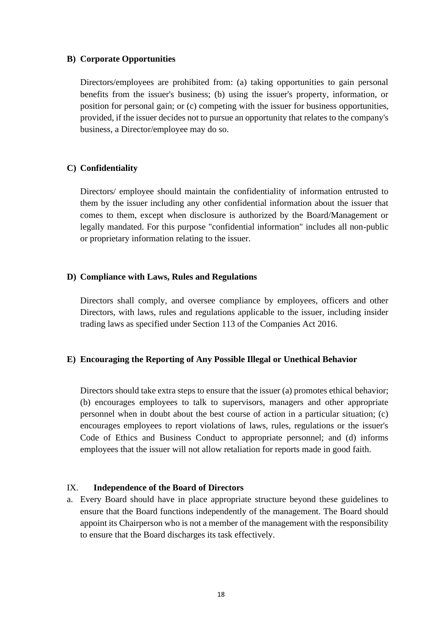#### **B) Corporate Opportunities**

Directors/employees are prohibited from: (a) taking opportunities to gain personal benefits from the issuer's business; (b) using the issuer's property, information, or position for personal gain; or (c) competing with the issuer for business opportunities, provided, if the issuer decides not to pursue an opportunity that relates to the company's business, a Director/employee may do so.

#### **C) Confidentiality**

Directors/ employee should maintain the confidentiality of information entrusted to them by the issuer including any other confidential information about the issuer that comes to them, except when disclosure is authorized by the Board/Management or legally mandated. For this purpose "confidential information" includes all non-public or proprietary information relating to the issuer.

#### **D) Compliance with Laws, Rules and Regulations**

Directors shall comply, and oversee compliance by employees, officers and other Directors, with laws, rules and regulations applicable to the issuer, including insider trading laws as specified under Section 113 of the Companies Act 2016.

#### **E) Encouraging the Reporting of Any Possible Illegal or Unethical Behavior**

Directors should take extra steps to ensure that the issuer (a) promotes ethical behavior; (b) encourages employees to talk to supervisors, managers and other appropriate personnel when in doubt about the best course of action in a particular situation; (c) encourages employees to report violations of laws, rules, regulations or the issuer's Code of Ethics and Business Conduct to appropriate personnel; and (d) informs employees that the issuer will not allow retaliation for reports made in good faith.

#### IX. **Independence of the Board of Directors**

a. Every Board should have in place appropriate structure beyond these guidelines to ensure that the Board functions independently of the management. The Board should appoint its Chairperson who is not a member of the management with the responsibility to ensure that the Board discharges its task effectively.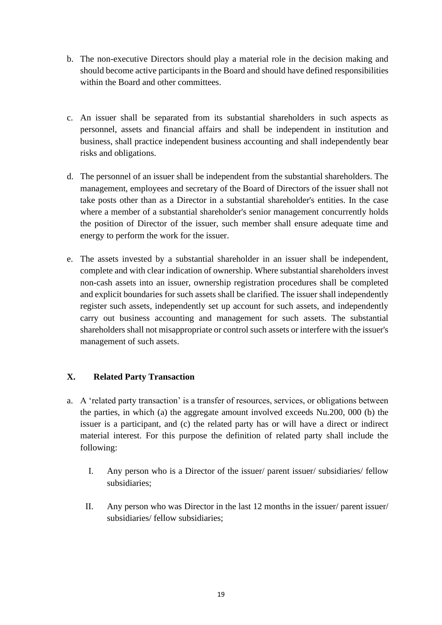- b. The non-executive Directors should play a material role in the decision making and should become active participants in the Board and should have defined responsibilities within the Board and other committees.
- c. An issuer shall be separated from its substantial shareholders in such aspects as personnel, assets and financial affairs and shall be independent in institution and business, shall practice independent business accounting and shall independently bear risks and obligations.
- d. The personnel of an issuer shall be independent from the substantial shareholders. The management, employees and secretary of the Board of Directors of the issuer shall not take posts other than as a Director in a substantial shareholder's entities. In the case where a member of a substantial shareholder's senior management concurrently holds the position of Director of the issuer, such member shall ensure adequate time and energy to perform the work for the issuer.
- e. The assets invested by a substantial shareholder in an issuer shall be independent, complete and with clear indication of ownership. Where substantial shareholders invest non-cash assets into an issuer, ownership registration procedures shall be completed and explicit boundaries for such assets shall be clarified. The issuer shall independently register such assets, independently set up account for such assets, and independently carry out business accounting and management for such assets. The substantial shareholders shall not misappropriate or control such assets or interfere with the issuer's management of such assets.

## **X. Related Party Transaction**

- a. A 'related party transaction' is a transfer of resources, services, or obligations between the parties, in which (a) the aggregate amount involved exceeds Nu.200, 000 (b) the issuer is a participant, and (c) the related party has or will have a direct or indirect material interest. For this purpose the definition of related party shall include the following:
	- I. Any person who is a Director of the issuer/ parent issuer/ subsidiaries/ fellow subsidiaries;
	- II. Any person who was Director in the last 12 months in the issuer/ parent issuer/ subsidiaries/ fellow subsidiaries;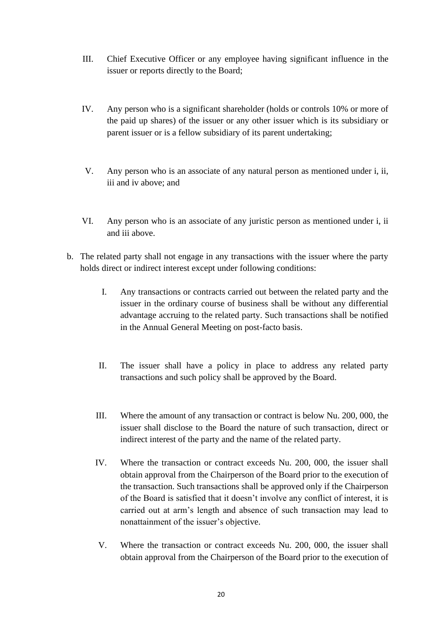- III. Chief Executive Officer or any employee having significant influence in the issuer or reports directly to the Board;
- IV. Any person who is a significant shareholder (holds or controls 10% or more of the paid up shares) of the issuer or any other issuer which is its subsidiary or parent issuer or is a fellow subsidiary of its parent undertaking;
- V. Any person who is an associate of any natural person as mentioned under i, ii, iii and iv above; and
- VI. Any person who is an associate of any juristic person as mentioned under i, ii and iii above.
- b. The related party shall not engage in any transactions with the issuer where the party holds direct or indirect interest except under following conditions:
	- I. Any transactions or contracts carried out between the related party and the issuer in the ordinary course of business shall be without any differential advantage accruing to the related party. Such transactions shall be notified in the Annual General Meeting on post-facto basis.
	- II. The issuer shall have a policy in place to address any related party transactions and such policy shall be approved by the Board.
	- III. Where the amount of any transaction or contract is below Nu. 200, 000, the issuer shall disclose to the Board the nature of such transaction, direct or indirect interest of the party and the name of the related party.
	- IV. Where the transaction or contract exceeds Nu. 200, 000, the issuer shall obtain approval from the Chairperson of the Board prior to the execution of the transaction. Such transactions shall be approved only if the Chairperson of the Board is satisfied that it doesn't involve any conflict of interest, it is carried out at arm's length and absence of such transaction may lead to nonattainment of the issuer's objective.
	- V. Where the transaction or contract exceeds Nu. 200, 000, the issuer shall obtain approval from the Chairperson of the Board prior to the execution of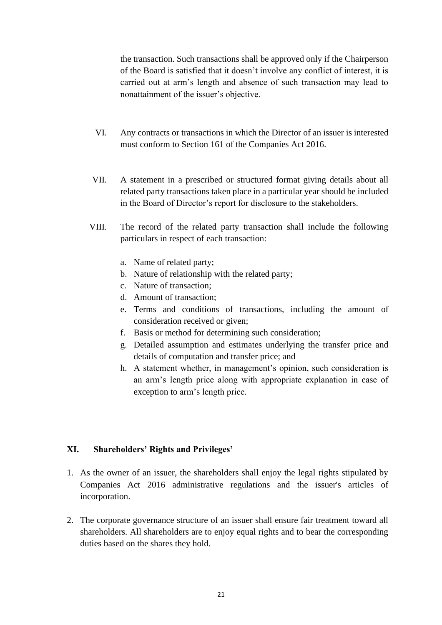the transaction. Such transactions shall be approved only if the Chairperson of the Board is satisfied that it doesn't involve any conflict of interest, it is carried out at arm's length and absence of such transaction may lead to nonattainment of the issuer's objective.

- VI. Any contracts or transactions in which the Director of an issuer is interested must conform to Section 161 of the Companies Act 2016.
- VII. A statement in a prescribed or structured format giving details about all related party transactions taken place in a particular year should be included in the Board of Director's report for disclosure to the stakeholders.
- VIII. The record of the related party transaction shall include the following particulars in respect of each transaction:
	- a. Name of related party;
	- b. Nature of relationship with the related party;
	- c. Nature of transaction;
	- d. Amount of transaction;
	- e. Terms and conditions of transactions, including the amount of consideration received or given;
	- f. Basis or method for determining such consideration;
	- g. Detailed assumption and estimates underlying the transfer price and details of computation and transfer price; and
	- h. A statement whether, in management's opinion, such consideration is an arm's length price along with appropriate explanation in case of exception to arm's length price.

## **XI. Shareholders' Rights and Privileges'**

- 1. As the owner of an issuer, the shareholders shall enjoy the legal rights stipulated by Companies Act 2016 administrative regulations and the issuer's articles of incorporation.
- 2. The corporate governance structure of an issuer shall ensure fair treatment toward all shareholders. All shareholders are to enjoy equal rights and to bear the corresponding duties based on the shares they hold.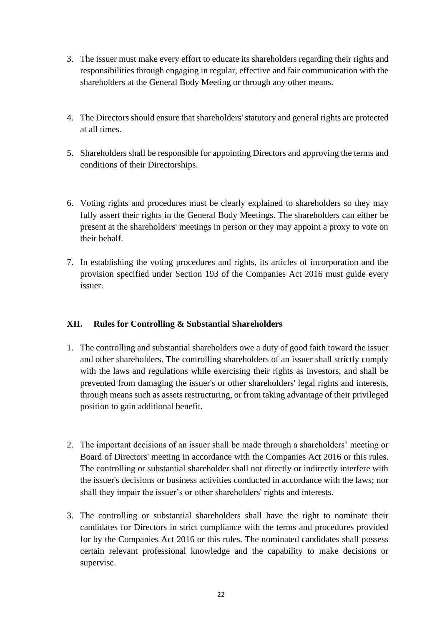- 3. The issuer must make every effort to educate its shareholders regarding their rights and responsibilities through engaging in regular, effective and fair communication with the shareholders at the General Body Meeting or through any other means.
- 4. The Directors should ensure that shareholders' statutory and general rights are protected at all times.
- 5. Shareholders shall be responsible for appointing Directors and approving the terms and conditions of their Directorships.
- 6. Voting rights and procedures must be clearly explained to shareholders so they may fully assert their rights in the General Body Meetings. The shareholders can either be present at the shareholders' meetings in person or they may appoint a proxy to vote on their behalf.
- 7. In establishing the voting procedures and rights, its articles of incorporation and the provision specified under Section 193 of the Companies Act 2016 must guide every issuer.

# **XII. Rules for Controlling & Substantial Shareholders**

- 1. The controlling and substantial shareholders owe a duty of good faith toward the issuer and other shareholders. The controlling shareholders of an issuer shall strictly comply with the laws and regulations while exercising their rights as investors, and shall be prevented from damaging the issuer's or other shareholders' legal rights and interests, through means such as assets restructuring, or from taking advantage of their privileged position to gain additional benefit.
- 2. The important decisions of an issuer shall be made through a shareholders' meeting or Board of Directors' meeting in accordance with the Companies Act 2016 or this rules. The controlling or substantial shareholder shall not directly or indirectly interfere with the issuer's decisions or business activities conducted in accordance with the laws; nor shall they impair the issuer's or other shareholders' rights and interests.
- 3. The controlling or substantial shareholders shall have the right to nominate their candidates for Directors in strict compliance with the terms and procedures provided for by the Companies Act 2016 or this rules. The nominated candidates shall possess certain relevant professional knowledge and the capability to make decisions or supervise.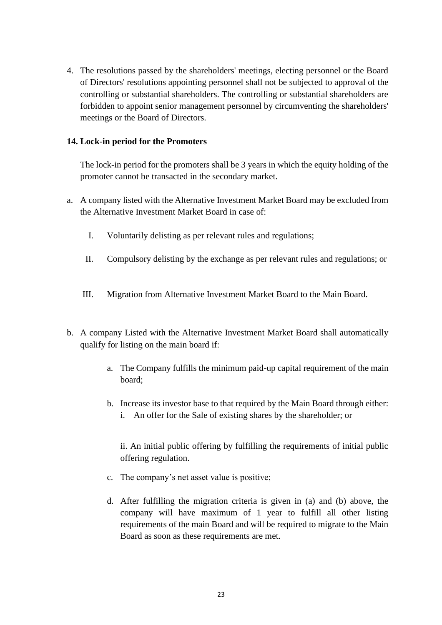4. The resolutions passed by the shareholders' meetings, electing personnel or the Board of Directors' resolutions appointing personnel shall not be subjected to approval of the controlling or substantial shareholders. The controlling or substantial shareholders are forbidden to appoint senior management personnel by circumventing the shareholders' meetings or the Board of Directors.

#### **14. Lock-in period for the Promoters**

The lock-in period for the promoters shall be 3 years in which the equity holding of the promoter cannot be transacted in the secondary market.

- a. A company listed with the Alternative Investment Market Board may be excluded from the Alternative Investment Market Board in case of:
	- I. Voluntarily delisting as per relevant rules and regulations;
	- II. Compulsory delisting by the exchange as per relevant rules and regulations; or
	- III. Migration from Alternative Investment Market Board to the Main Board.
- b. A company Listed with the Alternative Investment Market Board shall automatically qualify for listing on the main board if:
	- a. The Company fulfills the minimum paid-up capital requirement of the main board;
	- b. Increase its investor base to that required by the Main Board through either: i. An offer for the Sale of existing shares by the shareholder; or

ii. An initial public offering by fulfilling the requirements of initial public offering regulation.

- c. The company's net asset value is positive;
- d. After fulfilling the migration criteria is given in (a) and (b) above, the company will have maximum of 1 year to fulfill all other listing requirements of the main Board and will be required to migrate to the Main Board as soon as these requirements are met.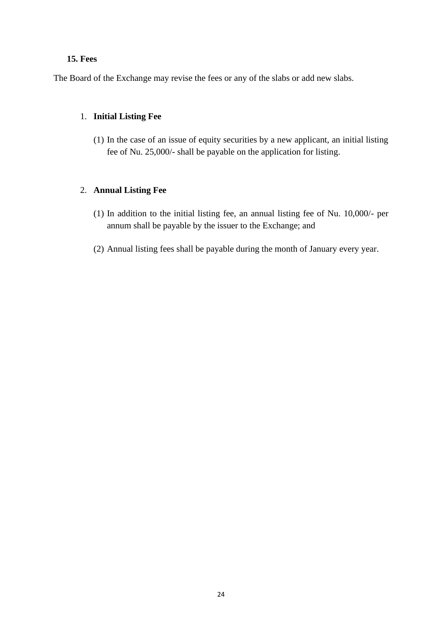#### **15. Fees**

The Board of the Exchange may revise the fees or any of the slabs or add new slabs.

## 1. **Initial Listing Fee**

(1) In the case of an issue of equity securities by a new applicant, an initial listing fee of Nu. 25,000/- shall be payable on the application for listing.

## 2. **Annual Listing Fee**

- (1) In addition to the initial listing fee, an annual listing fee of Nu. 10,000/- per annum shall be payable by the issuer to the Exchange; and
- (2) Annual listing fees shall be payable during the month of January every year.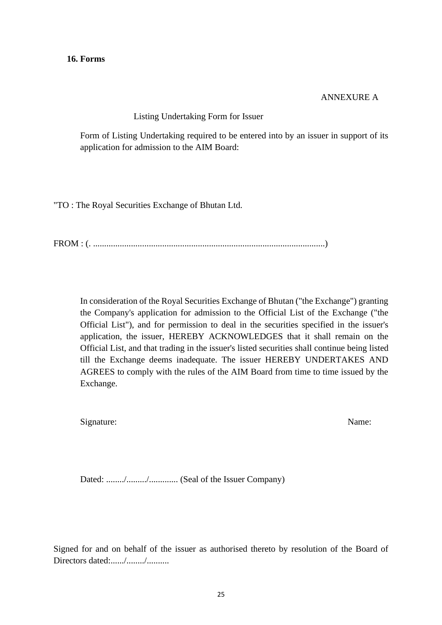ANNEXURE A

Listing Undertaking Form for Issuer

Form of Listing Undertaking required to be entered into by an issuer in support of its application for admission to the AIM Board:

"TO : The Royal Securities Exchange of Bhutan Ltd.

FROM : (. ........................................................................................................)

In consideration of the Royal Securities Exchange of Bhutan ("the Exchange") granting the Company's application for admission to the Official List of the Exchange ("the Official List"), and for permission to deal in the securities specified in the issuer's application, the issuer, HEREBY ACKNOWLEDGES that it shall remain on the Official List, and that trading in the issuer's listed securities shall continue being listed till the Exchange deems inadequate. The issuer HEREBY UNDERTAKES AND AGREES to comply with the rules of the AIM Board from time to time issued by the Exchange.

Signature: Name: Name: Name: Name: Name: Name: Name: Name: Name: Name: Name: Name: Name: Name: Name: Name: Name: Name: Name: Name: Name: Name: Name: Name: Name: Name: Name: Name: Name: Name: Name: Name: Name: Name: Name: N

Dated: ......../........./............. (Seal of the Issuer Company)

Signed for and on behalf of the issuer as authorised thereto by resolution of the Board of Directors dated:....../......../...........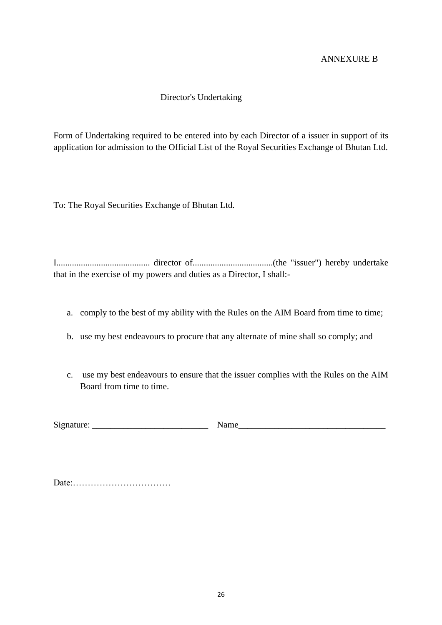## ANNEXURE B

## Director's Undertaking

Form of Undertaking required to be entered into by each Director of a issuer in support of its application for admission to the Official List of the Royal Securities Exchange of Bhutan Ltd.

To: The Royal Securities Exchange of Bhutan Ltd.

I.......................................... director of....................................(the "issuer") hereby undertake that in the exercise of my powers and duties as a Director, I shall:-

- a. comply to the best of my ability with the Rules on the AIM Board from time to time;
- b. use my best endeavours to procure that any alternate of mine shall so comply; and
- c. use my best endeavours to ensure that the issuer complies with the Rules on the AIM Board from time to time.

| $\sim$<br>mature<br><b>S121</b> |  |
|---------------------------------|--|
|                                 |  |
|                                 |  |

Date:……………………………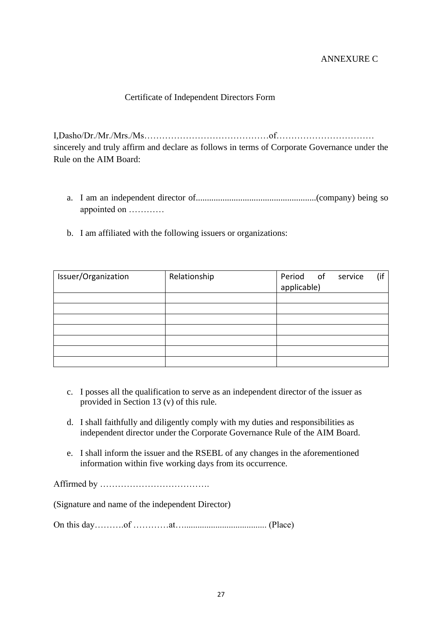## ANNEXURE C

## Certificate of Independent Directors Form

I,Dasho/Dr./Mr./Mrs./Ms……………………………………of…………………………… sincerely and truly affirm and declare as follows in terms of Corporate Governance under the Rule on the AIM Board:

- a. I am an independent director of......................................................(company) being so appointed on …………
- b. I am affiliated with the following issuers or organizations:

| Issuer/Organization | Relationship | Period of   | service | (if |
|---------------------|--------------|-------------|---------|-----|
|                     |              | applicable) |         |     |
|                     |              |             |         |     |
|                     |              |             |         |     |
|                     |              |             |         |     |
|                     |              |             |         |     |
|                     |              |             |         |     |
|                     |              |             |         |     |
|                     |              |             |         |     |

- c. I posses all the qualification to serve as an independent director of the issuer as provided in Section 13 (v) of this rule.
- d. I shall faithfully and diligently comply with my duties and responsibilities as independent director under the Corporate Governance Rule of the AIM Board.
- e. I shall inform the issuer and the RSEBL of any changes in the aforementioned information within five working days from its occurrence.

Affirmed by ……………………………….

(Signature and name of the independent Director)

On this day……….of …………at…..................................... (Place)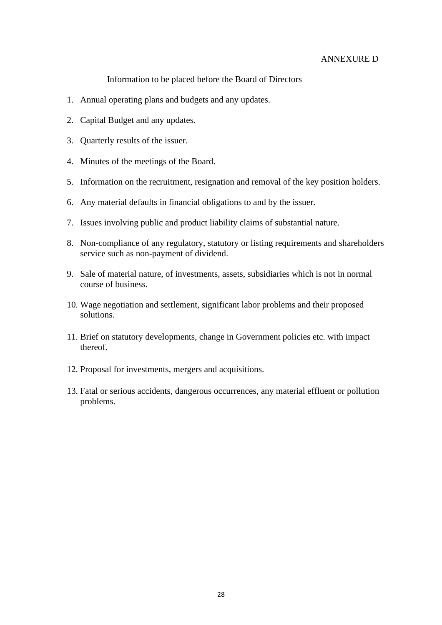#### ANNEXURE D

Information to be placed before the Board of Directors

- 1. Annual operating plans and budgets and any updates.
- 2. Capital Budget and any updates.
- 3. Quarterly results of the issuer.
- 4. Minutes of the meetings of the Board.
- 5. Information on the recruitment, resignation and removal of the key position holders.
- 6. Any material defaults in financial obligations to and by the issuer.
- 7. Issues involving public and product liability claims of substantial nature.
- 8. Non-compliance of any regulatory, statutory or listing requirements and shareholders service such as non-payment of dividend.
- 9. Sale of material nature, of investments, assets, subsidiaries which is not in normal course of business.
- 10. Wage negotiation and settlement, significant labor problems and their proposed solutions.
- 11. Brief on statutory developments, change in Government policies etc. with impact thereof.
- 12. Proposal for investments, mergers and acquisitions.
- 13. Fatal or serious accidents, dangerous occurrences, any material effluent or pollution problems.